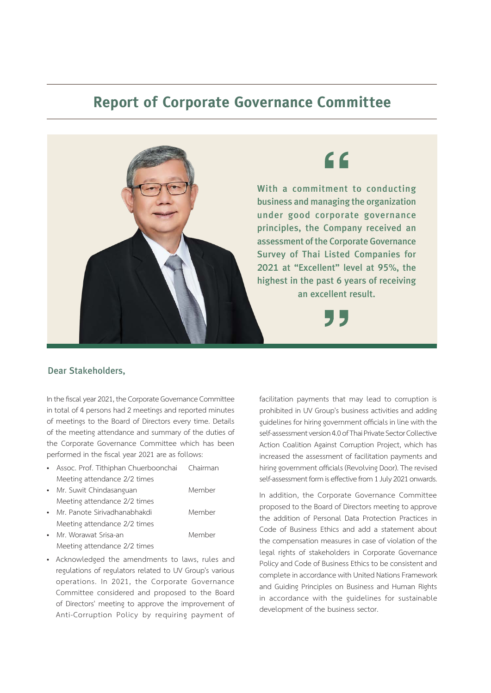## **Report of Corporate Governance Committee**



## Dear Stakeholders,

In the fiscal year 2021, the Corporate Governance Committee in total of 4 persons had 2 meetings and reported minutes of meetings to the Board of Directors every time. Details of the meeting attendance and summary of the duties of the Corporate Governance Committee which has been performed in the fiscal year 2021 are as follows:

• Assoc. Prof. Tithiphan Chuerboonchai Chairman Meeting attendance 2/2 times

| • Mr. Suwit Chindasanguan      | Member |
|--------------------------------|--------|
| Meeting attendance 2/2 times   |        |
| • Mr. Panote Sirivadhanabhakdi | Member |
| Meeting attendance 2/2 times   |        |

- Mr. Worawat Srisa-an Member Meeting attendance 2/2 times
- Acknowledged the amendments to laws, rules and regulations of regulators related to UV Group's various operations. In 2021, the Corporate Governance Committee considered and proposed to the Board of Directors' meeting to approve the improvement of Anti-Corruption Policy by requiring payment of

facilitation payments that may lead to corruption is prohibited in UV Group's business activities and adding guidelines for hiring government officials in line with the self-assessment version 4.0 of Thai Private Sector Collective Action Coalition Against Corruption Project, which has increased the assessment of facilitation payments and hiring government officials (Revolving Door). The revised self-assessment form is effective from 1 July 2021 onwards.

In addition, the Corporate Governance Committee proposed to the Board of Directors meeting to approve the addition of Personal Data Protection Practices in Code of Business Ethics and add a statement about the compensation measures in case of violation of the legal rights of stakeholders in Corporate Governance Policy and Code of Business Ethics to be consistent and complete in accordance with United Nations Framework and Guiding Principles on Business and Human Rights in accordance with the guidelines for sustainable development of the business sector.